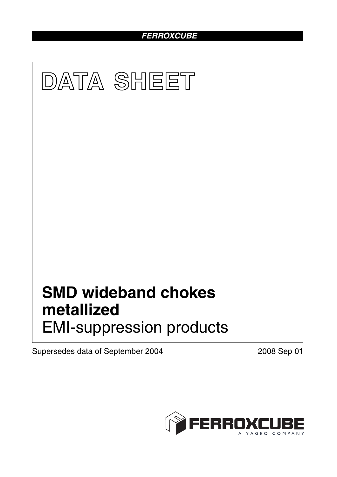*FERROXCUBE*



Supersedes data of September 2004 2008 Sep 01

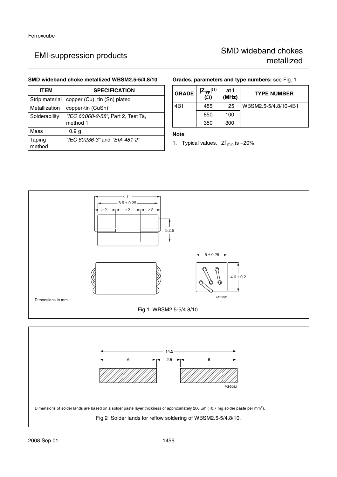## **SMD wideband choke metallized WBSM2.5-5/4.8/10**

| <b>ITEM</b>      | <b>SPECIFICATION</b>                           |
|------------------|------------------------------------------------|
| Strip material   | copper (Cu), tin (Sn) plated                   |
| Metallization    | copper-tin (CuSn)                              |
| Solderability    | "IEC 60068-2-58", Part 2, Test Ta,<br>method 1 |
| Mass             | ≈0.9 q                                         |
| Taping<br>method | "IEC 60286-3" and "EIA 481-2"                  |

## **Grades, parameters and type numbers;** see Fig. 1

| <b>GRADE</b> | $ Z_{typ} ^{(1)}$<br>( $\Omega$ ) | at f<br>(MHz) | <b>TYPE NUMBER</b>   |
|--------------|-----------------------------------|---------------|----------------------|
| 4B1          | 485                               | 25            | WBSM2.5-5/4.8/10-4B1 |
|              | 850                               | 100           |                      |
|              | 350                               | 300           |                      |

### **Note**

1. Typical values,  $|Z|_{min}$  is  $-20\%$ .



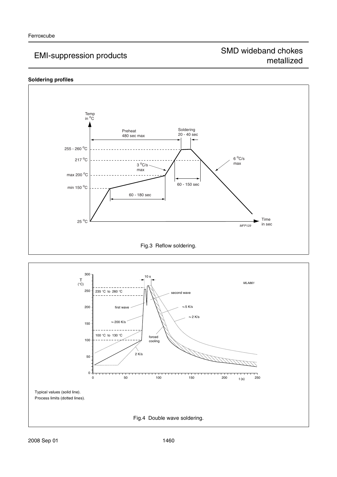## **Soldering profiles**



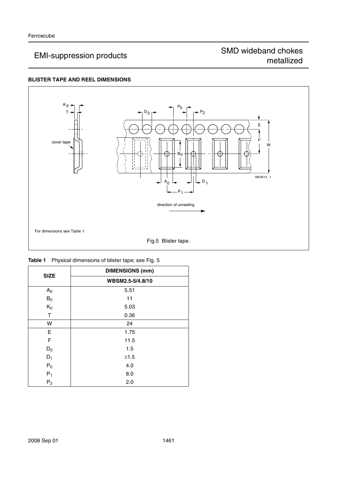# EMI-suppression products<br>
EMI-suppression products<br>
metallized metallized

## **BLISTER TAPE AND REEL DIMENSIONS**



| <b>SIZE</b>    | <b>DIMENSIONS (mm)</b> |
|----------------|------------------------|
|                | WBSM2.5-5/4.8/10       |
| A <sub>0</sub> | 5.51                   |
| $\mathsf{B}_0$ | 11                     |
| $K_0$          | 5.03                   |
| Τ              | 0.36                   |
| W              | 24                     |
| E              | 1.75                   |
| F              | 11.5                   |
| $D_0$          | 1.5                    |
| $D_1$          | $≥1.5$                 |
| $P_0$          | 4.0                    |
| $P_1$          | 8.0                    |
| P <sub>2</sub> | 2.0                    |

|  |  | <b>Table 1</b> Physical dimensions of blister tape; see Fig. 5 |  |
|--|--|----------------------------------------------------------------|--|
|  |  |                                                                |  |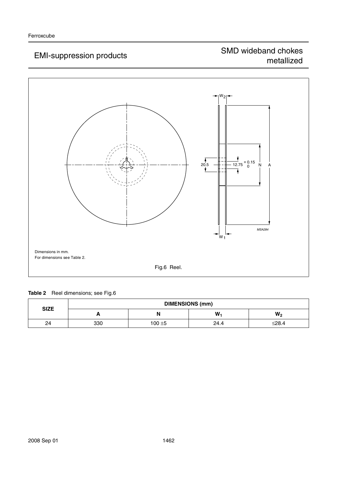

## **Table 2** Reel dimensions; see Fig.6

| <b>SIZE</b> | <b>DIMENSIONS (mm)</b> |           |      |       |
|-------------|------------------------|-----------|------|-------|
|             | -                      | N         | W    | $W_2$ |
| 24          | 330                    | $100 + 5$ | 24.4 | ≤28.4 |